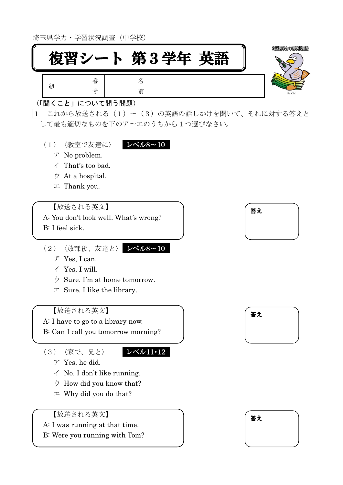埼玉県学力・学習状況調査(中学校)